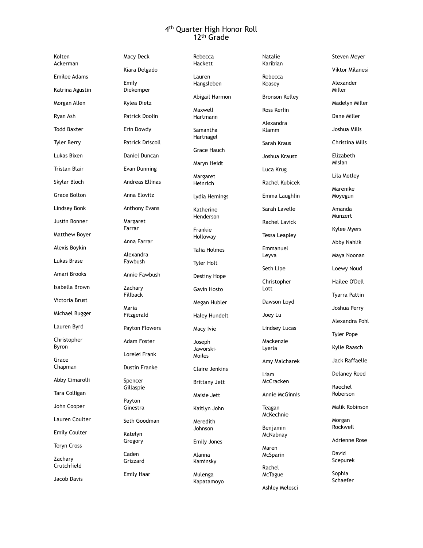## 4th Quarter High Honor Roll 12th Grade

Kolten Ackerman Emilee Adams Katrina Agustin Morgan Allen Ryan Ash Todd Baxter Tyler Berry Lukas Bixen Tristan Blair Skylar Bloch Grace Bolton Lindsey Bonk Justin Bonner Matthew Boyer Alexis Boykin Lukas Brase Amari Brooks Isabella Brown Victoria Brust Michael Bugger Lauren Byrd Christopher Byron Grace Chapman Abby Cimarolli Tara Colligan John Cooper Lauren Coulter Emily Coulter Teryn Cross **Zacharv** Crutchfield Jacob Davis Emily Farrar Fillback Maria Payton Katelyn Caden

Macy Deck Kiara Delgado Diekemper Kylea Dietz Patrick Doolin Erin Dowdy Patrick Driscoll Daniel Duncan Evan Dunning Andreas Ellinas Anna Elovitz Anthony Evans Margaret Anna Farrar Alexandra Fawbush Annie Fawbush **Zachary** Fitzgerald Payton Flowers Adam Foster Lorelei Frank Dustin Franke Spencer Gillaspie Ginestra Seth Goodman Gregory Grizzard Emily Haar

Rebecca Hackett

Lauren Hangsleben

Abigail Harmon

Maxwell Hartmann

Samantha Hartnagel

Grace Hauch

Maryn Heidt

Margaret Heinrich

Lydia Hemings

Katherine Henderson

Frankie Holloway

Talia Holmes

Tyler Holt

Destiny Hope

Gavin Hosto

Megan Hubler

Haley Hundelt

Macy Ivie

Joseph Jaworski-Moiles

Claire Jenkins

Brittany Jett

Maisie Jett

Kaitlyn John

Meredith Johnson

Emily Jones

Alanna Kaminsky

Mulenga Kapatamoyo Natalie Karibian

Rebecca Keasey

Bronson Kelley

Ross Kerlin

Alexandra Klamm

Sarah Kraus

Joshua Krausz

Luca Krug

Rachel Kubicek

Emma Laughlin

Sarah Lavelle

Rachel Lavick

Tessa Leapley

Emmanuel Leyva

Seth Lipe

Christopher Lott

Dawson Loyd

Joey Lu

Lindsey Lucas

Mackenzie Lyerla

Amy Malcharek

Liam McCracken

Annie McGinnis

Teagan McKechnie

Benjamin **McNabnay** 

Maren McSparin

Rachel **McTague** 

Ashley Melosci

Steven Meyer

Viktor Milanesi

Alexander Miller

Madelyn Miller

Dane Miller

Joshua Mills

Christina Mills

Elizabeth Mislan

Lila Motley

Marenike Moyegun

Amanda Munzert

Kylee Myers

Abby Nahlik

Maya Noonan

Loewy Noud

Hailee O'Dell

Tyarra Pattin

Joshua Perry

Alexandra Pohl

Tyler Pope

Kylie Raasch

Jack Raffaelle

Delaney Reed

Raechel Roberson

Malik Robinson

Morgan Rockwell

Adrienne Rose

David Scepurek

Sophia Schaefer